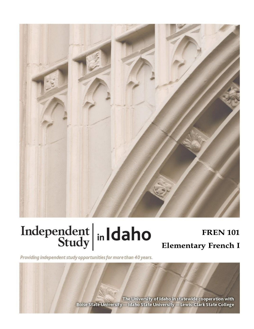

# Independent  $\left|\frac{\text{ind}}{\text{study}}\right|$  in Idaho

**FREN 101 Elementary French I** 

Providing independent study opportunities for more than 40 years.

The University of Idaho in statewide cooperation with Boise State University - Idaho State University - Lewis-Clark State College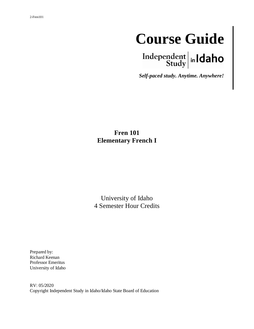# **Course Guide**

Independent  $\left|\frac{\text{independent}}{\text{Study}}\right|$  in **Idaho** 

*Self-paced study. Anytime. Anywhere!*

# **Fren 101 Elementary French I**

University of Idaho 4 Semester Hour Credits

Prepared by: Richard Keenan Professor Emeritus University of Idaho

RV: 05/2020 Copyright Independent Study in Idaho/Idaho State Board of Education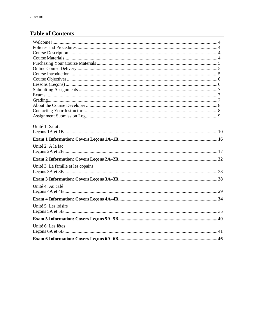# **Table of Contents**

| Unité 1: Salut!                    |  |
|------------------------------------|--|
|                                    |  |
|                                    |  |
| Unité 2: À la fac                  |  |
|                                    |  |
|                                    |  |
| Unité 3: La famille et les copains |  |
|                                    |  |
|                                    |  |
| Unité 4: Au café                   |  |
|                                    |  |
|                                    |  |
|                                    |  |
| Unité 5: Les loisirs               |  |
|                                    |  |
|                                    |  |
| Unité 6: Les fêtes                 |  |
|                                    |  |
|                                    |  |
|                                    |  |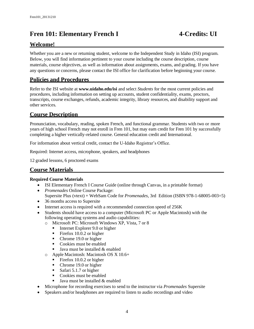# **Fren 101: Elementary French I 4-Credits: UI**

# **Welcome!**

Whether you are a new or returning student, welcome to the Independent Study in Idaho (ISI) program. Below, you will find information pertinent to your course including the course description, course materials, course objectives, as well as information about assignments, exams, and grading. If you have any questions or concerns, please contact the ISI office for clarification before beginning your course.

# **Policies and Procedures**

Refer to the ISI website at **www.uidaho.edu/isi** and select *Students* for the most current policies and procedures, including information on setting up accounts, student confidentiality, exams, proctors, transcripts, course exchanges, refunds, academic integrity, library resources, and disability support and other services.

# **Course Description**

Pronunciation, vocabulary, reading, spoken French, and functional grammar. Students with two or more years of high school French may not enroll in Fren 101, but may earn credit for Fren 101 by successfully completing a higher vertically-related course. General education credit and International.

For information about vertical credit, contact the U-Idaho Registrar's Office.

Required: Internet access, microphone, speakers, and headphones

12 graded lessons, 6 proctored exams

# **Course Materials**

#### **Required Course Materials**

- ISI Elementary French I Course Guide (online through Canvas, in a printable format)
- *Promenades* Online Course Package: Supersite Plus (vtext) + WebSam Code for *Promenades*, 3rd Edition (ISBN 978-1-68005-003=5)
- 36 months access to Supersite
- Internet access is required with a recommended connection speed of 256K
- Students should have access to a computer (Microsoft PC or Apple Macintosh) with the following operating systems and audio capabilities:
	- o Microsoft PC: Microsoft Windows XP, Vista, 7 or 8
		- Internet Explorer 9.0 or higher
		- $\blacksquare$  Firefox 10.0.2 or higher
		- Chrome 19.0 or higher
		- Cookies must be enabled
		- Java must be installed  $&$  enabled
	- o Apple Macintosh: Macintosh OS X 10.6+
		- **•** Firefox 10.0.2 or higher
		- Chrome 19.0 or higher
		- Safari 5.1.7 or higher
		- Cookies must be enabled
		- Java must be installed  $&$  enabled
- Microphone for recording exercises to send to the instructor via *Promenades* Supersite
- Speakers and/or headphones are required to listen to audio recordings and video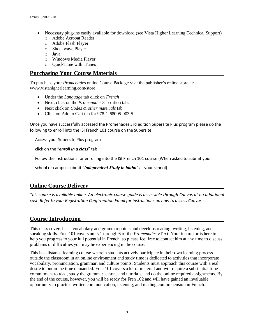- Necessary plug-ins easily available for download (see Vista Higher Learning Technical Support) o Adobe Acrobat Reader
	- o Adobe Flash Player
	- o Shockwave Player
	- o Java
	- o Windows Media Player
	- o QuickTime with iTunes

### **Purchasing Your Course Materials**

To purchase your *Promenades* online Course Package visit the publisher's online store at: www.vistahigherlearning.com/store

- Under the *Language* tab click on *French*
- Next, click on the *Promenades* 3<sup>rd</sup> edition tab.
- Next click on *Codes & other materials* tab
- Click on Add to Cart tab for 978-1-68005-003-5

Once you have successfully accessed the Promenades 3rd edition Supersite Plus program please do the following to enroll into the ISI French 101 course on the Supersite:

Access your Supersite Plus program

click on the "*enroll in a class*" tab

Follow the instructions for enrolling into the ISI French 101 course (When asked to submit your

school or campus submit "*Independent Study in Idaho*" as your school)

# **Online Course Delivery**

*This course is available online. An electronic course guide is accessible through Canvas at no additional cost. Refer to your Registration Confirmation Email for instructions on how to access Canvas.* 

# **Course Introduction**

This class covers basic vocabulary and grammar points and develops reading, writing, listening, and speaking skills. Fren 101 covers units 1 through 6 of the *Promenades* vText. Your instructor is here to help you progress to your full potential in French, so please feel free to contact him at any time to discuss problems or difficulties you may be experiencing in the course.

This is a distance-learning course wherein students actively participate in their own learning process outside the classroom in an online environment and study time is dedicated to activities that incorporate vocabulary, pronunciation, grammar, and culture points. Students must approach this course with a real desire to put in the time demanded. Fren 101 covers a lot of material and will require a substantial time commitment to read, study the grammar lessons and tutorials, and do the online required assignments. By the end of the course, however, you will be ready for Fren 102 and will have gained an invaluable opportunity to practice written communication, listening, and reading comprehension in French.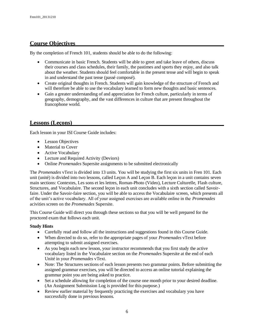# **Course Objectives**

By the completion of French 101, students should be able to do the following:

- Communicate in basic French. Students will be able to greet and take leave of others, discuss their courses and class schedules, their family, the pastimes and sports they enjoy, and also talk about the weather. Students should feel comfortable in the present tense and will begin to speak in and understand the past tense (passé composé).
- Create original thoughts in French. Students will gain knowledge of the structure of French and will therefore be able to use the vocabulary learned to form new thoughts and basic sentences.
- Gain a greater understanding of and appreciation for French culture, particularly in terms of geography, demography, and the vast differences in culture that are present throughout the francophone world.

# **Lessons (Leçons)**

Each lesson in your ISI Course Guide includes:

- Lesson Objectives
- Material to Cover
- Active Vocabulary
- Lecture and Required Activity (Deviors)
- Online *Promenades* Supersite assignments to be submitted electronically

The *Promenades* vText is divided into 13 units. You will be studying the first six units in Fren 101. Each unit (unité) is divided into two lessons, called Leçon A and Leçon B. Each leçon in a unit contains seven main sections: Contextes, Les sons et les lettres, Roman-Photo (Video), Lecture Culturelle, Flash culture, Structures, and Vocabulaire. The second lecon in each unit concludes with a sixth section called Savoirfaire. Under the Savoir-faire section, you will be able to access the Vocabulaire screen, which presents all of the unit's active vocabulary. All of your assigned exercises are available online in the *Promenades* acivities screen on the *Promenades* Supersite.

This Course Guide will direct you through these sections so that you will be well prepared for the proctored exam that follows each unit.

#### **Study Hints**

- Carefully read and follow all the instructions and suggestions found in this Course Guide.
- When directed to do so, refer to the appropriate pages of your *Promenades* vText before attempting to submit assigned exercises.
- As you begin each new lesson, your instructor recommends that you first study the active vocabulary listed in the Vocabulaire section on the *Promenades* Supersite at the end of each Unité in your *Promenades* vText.
- Note: The Structures sections of each lesson presents two grammar points. Before submitting the assigned grammar exercises, you will be directed to access an online tutorial explaining the grammar point you are being asked to practice.
- Set a schedule allowing for completion of the course one month prior to your desired deadline. (An Assignment Submission Log is provided for this purpose.)
- Review earlier material by frequently practicing the exercises and vocabulary you have successfully done in previous lessons.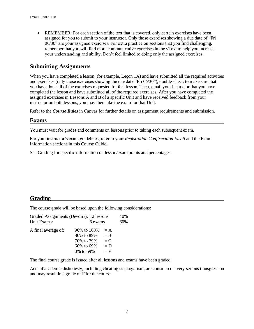• REMEMBER: For each section of the text that is covered, only certain exercises have been assigned for you to submit to your instructor. Only those exercises showing a due date of "Fri 06/30" are your assigned exercises. For extra practice on sections that you find challenging, remember that you will find more communicative exercises in the vText to help you increase your understanding and ability. Don't feel limited to doing only the assigned exercises.

#### **Submitting Assignments**

When you have completed a lesson (for example, Lecon 1A) and have submitted all the required activities and exercises (only those exercises showing the due date "Fri 06/30"), double-check to make sure that you have done all of the exercises requested for that lesson. Then, email your instructor that you have completed the lesson and have submitted all of the required exercises. After you have completed the assigned exercises in Lessons A and B of a specific Unit and have received feedback from your instructor on both lessons, you may then take the exam for that Unit.

Refer to the *Course Rules* in Canvas for further details on assignment requirements and submission.

#### **Exams**

You must wait for grades and comments on lessons prior to taking each subsequent exam.

For your instructor's exam guidelines, refer to your *Registration Confirmation Email* and the Exam Information sections in this Course Guide.

See Grading for specific information on lesson/exam points and percentages.

#### **Grading**

The course grade will be based upon the following considerations:

| Graded Assignments (Devoirs): 12 lessons |                                                                                |                                           |     |  |
|------------------------------------------|--------------------------------------------------------------------------------|-------------------------------------------|-----|--|
| Unit Exams:                              | 6 exams                                                                        |                                           | 60% |  |
| A final average of:                      | 90% to 100%<br>80\% to 89\%<br>70\% to 79\%<br>$60\%$ to $69\%$<br>0\% to 59\% | $= A$<br>$=$ B<br>$= C$<br>$= D$<br>$=$ F |     |  |
|                                          |                                                                                |                                           |     |  |

The final course grade is issued after all lessons and exams have been graded.

Acts of academic dishonesty, including cheating or plagiarism, are considered a very serious transgression and may result in a grade of F for the course.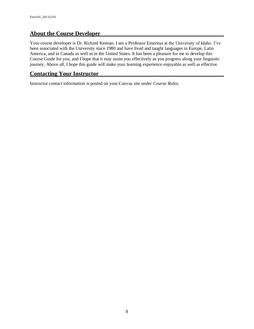# **About the Course Developer**

Your course developer is Dr. Richard Keenan. I am a Professor Emeritus at the University of Idaho. I've been associated with the University since 1980 and have lived and taught languages in Europe, Latin America, and in Canada as well as in the United States. It has been a pleasure for me to develop this Course Guide for you, and I hope that it may assist you effectively as you progress along your linguistic journey. Above all, I hope this guide will make your learning experience enjoyable as well as effective.

# **Contacting Your Instructor**

Instructor contact information is posted on your Canvas site under *Course Rules.*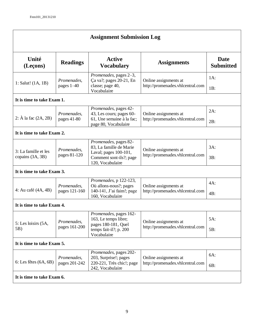| <b>Assignment Submission Log</b>         |                              |                                                                                                                          |                                                           |                          |  |  |  |
|------------------------------------------|------------------------------|--------------------------------------------------------------------------------------------------------------------------|-----------------------------------------------------------|--------------------------|--|--|--|
| Unité<br>(Leçons)                        | <b>Readings</b>              | <b>Active</b><br><b>Vocabulary</b>                                                                                       | <b>Assignments</b>                                        | Date<br><b>Submitted</b> |  |  |  |
| 1: Salut! $(1A, 1B)$                     | Promenades,<br>pages $1-40$  | Promenades, pages 2-3,<br>Ça va?; pages 20-21, En<br>classe; page 40,<br>Vocabulaire                                     | Online assignments at<br>http://promenades.vhlcentral.com | $1A$ :<br>1B:            |  |  |  |
| It is time to take Exam 1.               |                              |                                                                                                                          |                                                           |                          |  |  |  |
| 2: $\hat{A}$ la fac $(2A, 2B)$           | Promenades,<br>pages 41-80   | Promenades, pages 42-<br>43, Les cours; pages 60-<br>61, Une semaine à la fac;<br>page 80, Vocabulaire                   | Online assignments at<br>http://promenades.vhlcentral.com | $2A$ :<br>2B:            |  |  |  |
| It is time to take Exam 2.               |                              |                                                                                                                          |                                                           |                          |  |  |  |
| 3: La famille et les<br>copains (3A, 3B) | Promenades,<br>pages 81-120  | Promenades, pages 82-<br>83, La famille de Marie<br>Laval; pages 100-101,<br>Comment sont-ils?; page<br>120, Vocabulaire | Online assignments at<br>http://promenades.vhlcentral.com | $3A$ :<br>3B:            |  |  |  |
| It is time to take Exam 3.               |                              |                                                                                                                          |                                                           |                          |  |  |  |
| 4: Au café (4A, 4B)                      | Promenades,<br>pages 121-160 | Promenades, p 122-123,<br>Où allons-nous?; pages<br>140-141, J'ai faim!; page<br>160, Vocabulaire                        | Online assignments at<br>http://promenades.vhlcentral.com | $4A$ :<br>4B:            |  |  |  |
| It is time to take Exam 4.               |                              |                                                                                                                          |                                                           |                          |  |  |  |
| 5: Les loisirs (5A,<br>5B)               | Promenades,<br>pages 161-200 | Promenades, pages 162-<br>163, Le temps libre;<br>pages 180-181, Quel<br>temps fait-il?; $p. 200$<br>Vocabulaire         | Online assignments at<br>http://promenades.vhlcentral.com | 5A:<br>5B:               |  |  |  |
| It is time to take Exam 5.               |                              |                                                                                                                          |                                                           |                          |  |  |  |
| $6:$ Les fêtes $(6A, 6B)$                | Promenades,<br>pages 201-242 | Promenades, pages 202-<br>203, Surprise!; pages<br>220-221, Très chic!; page<br>242, Vocabulaire                         | Online assignments at<br>http://promenades.vhlcentral.com | 6A:<br>6B:               |  |  |  |
| It is time to take Exam 6.               |                              |                                                                                                                          |                                                           |                          |  |  |  |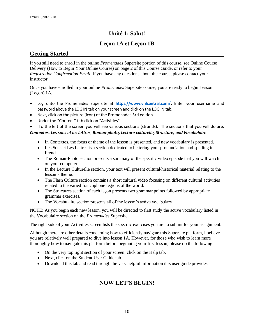# **Unité 1: Salut!**

# **Leçon 1A et Leçon 1B**

# **Getting Started**

If you still need to enroll in the online *Promenades* Supersite portion of this course, see Online Course Delivery (How to Begin Your Online Course) on page 2 of this Course Guide, or refer to your *Registration Confirmation Email*. If you have any questions about the course, please contact your instructor.

Once you have enrolled in your online *Promenades* Supersite course, you are ready to begin Lesson (Leçon) 1A.

- Log onto the Promenades Supersite at **[https://www.vhlcentral.com/.](https://www.vhlcentral.com/)** Enter your username and password above the LOG IN tab on your screen and click on the LOG IN tab.
- Next, click on the picture (icon) of the Promenades 3rd edition
- Under the "Content" tab click on "Activities"

• To the left of the screen you will see various sections (strands). The sections that you will do are: *Contextes*, *Les sons et les lettres*, *Roman-photo, Lecture culturelle, Structure, and Vocabulaire*

- In Contextes, the focus or theme of the lesson is presented, and new vocabulary is presented.
- Les Sons et Les Lettres is a section dedicated to bettering your pronunciation and spelling in French.
- The Roman-Photo section presents a summary of the specific video episode that you will watch on your computer.
- In the Lecture Culturelle section, your text will present cultural/historical material relating to the lesson's theme.
- The Flash Culture section contains a short cultural video focusing on different cultural activities related to the varied francophone regions of the world.
- The Structures section of each leçon presents two grammar points followed by appropriate grammar exercises.
- The Vocabulaire section presents all of the lesson's active vocabulary

NOTE: As you begin each new lesson, you will be directed to first study the active vocabulary listed in the Vocabulaire section on the *Promenades* Supersite.

The right side of your Activities screen lists the specific exercises you are to submit for your assignment.

Although there are other details concerning how to efficiently navigate this Supersite platform, I believe you are relatively well prepared to dive into lesson 1A. However, for those who wish to learn more thoroughly how to navigate this platform before beginning your first lesson, please do the following:

- On the very top right section of your screen, click on the Help tab.
- Next, click on the Student User Guide tab.
- Download this tab and read through the very helpful information this user guide provides.

# **NOW LET'S BEGIN!**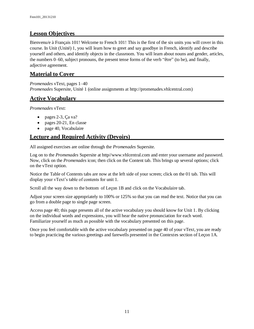# **Lesson Objectives**

Bienvenu/e à Français 101! Welcome to French 101! This is the first of the six units you will cover in this course. In Unit (Unité) 1, you will learn how to greet and say goodbye in French, identify and describe yourself and others, and identify objects in the classroom. You will learn about nouns and gender, articles, the numbers 0–60, subject pronouns, the present tense forms of the verb "être" (to be), and finally, adjective agreement.

# **Material to Cover**

*Promenades* vText, pages 1–40 *Promenades* Supersite, Unité 1 (online assignments at http://promenades.vhlcentral.com)

# **Active Vocabulary**

*Promenades* vText:

- pages 2-3, Ça va?
- pages 20-21, En classe
- page 40, Vocabulaire

# **Lecture and Required Activity (Devoirs)**

All assigned exercises are online through the *Promenades* Supersite.

Log on to the *Promenades* Supersite at http//www.vhlcentral.com and enter your username and password. Now, click on the *Promenades* icon; then click on the Content tab. This brings up several options; click on the vText option.

Notice the Table of Contents tabs are now at the left side of your screen; click on the 01 tab. This will display your vText's table of contents for unit 1.

Scroll all the way down to the bottom of Leçon 1B and click on the Vocabulaire tab.

Adjust your screen size appropriately to 100% or 125% so that you can read the text. Notice that you can go from a double page to single page screen.

Access page 40; this page presents all of the active vocabulary you should know for Unit 1. By clicking on the individual words and expressions, you will hear the native pronunciation for each word. Familiarize yourself as much as possible with the vocabulary presented on this page.

Once you feel comfortable with the active vocabulary presented on page 40 of your vText, you are ready to begin practicing the various greetings and farewells presented in the Contextes section of Leçon 1A.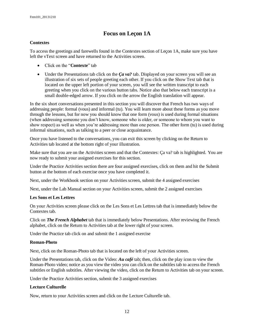# **Focus on Leçon 1A**

#### **Contextes**

To access the greetings and farewells found in the Contextes section of Leçon 1A, make sure you have left the vText screen and have returned to the Activities screen.

- Click on the "**Contexte**" tab
- Under the Presentations tab click on the *Ca va*? tab. Displayed on your screen you will see an illustration of six sets of people greeting each other. If you click on the Show Text tab that is located on the upper left portion of your screen, you will see the written transcript to each greeting when you click on the various button tabs. Notice also that below each transcript is a small double-edged arrow. If you click on the arrow the English translation will appear.

In the six short conversations presented in this section you will discover that French has two ways of addressing people: formal (vous) and informal (tu). You will learn more about these forms as you move through the lessons, but for now you should know that one form (vous) is used during formal situations (when addressing someone you don't know, someone who is older, or someone to whom you want to show respect) as well as when you're addressing more than one person. The other form (tu) is used during informal situations, such as talking to a peer or close acquaintance.

Once you have listened to the conversations, you can exit this screen by clicking on the Return to Activities tab located at the bottom right of your illustration.

Make sure that you are on the Activities screen and that the Contextes: Ça va? tab is highlighted. You are now ready to submit your assigned exercises for this section.

Under the Practice Activities section there are four assigned exercises, click on them and hit the Submit button at the bottom of each exercise once you have completed it.

Next, under the Workbook section on your Activities screen, submit the 4 assigned exercises

Next, under the Lab Manual section on your Activities screen, submit the 2 assigned exercises

#### **Les Sons et Les Lettres**

On your Activities screen please click on the Les Sons et Les Lettres tab that is immediately below the Contextes tab.

Click on *The French Alphabet* tab that is immediately below Presentations. After reviewing the French alphabet, click on the Return to Activities tab at the lower right of your screen.

Under the Practice tab click on and submit the 1 assigned exercise

#### **Roman-Photo**

Next, click on the Roman-Photo tab that is located on the left of your Activities screen.

Under the Presentations tab, click on the Video: *Au café* tab; then, click on the play icon to view the Roman-Photo video; notice as you view the video you can click on the subtitles tab to access the French subtitles or English subtitles. After viewing the video, click on the Return to Activities tab on your screen.

Under the Practice Activities section, submit the 3 assigned exercises

#### **Lecture Culturelle**

Now, return to your Activities screen and click on the Lecture Culturelle tab.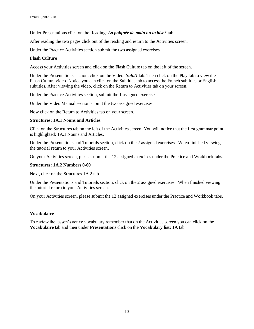Under Presentations click on the Reading: *La poignée de main ou la bise?* tab.

After reading the two pages click out of the reading and return to the Activities screen.

Under the Practice Activities section submit the two assigned exercises

#### **Flash Culture**

Access your Activities screen and click on the Flash Culture tab on the left of the screen.

Under the Presentations section, click on the Video: *Salut!* tab. Then click on the Play tab to view the Flash Culture video. Notice you can click on the Subtitles tab to access the French subtitles or English subtitles. After viewing the video, click on the Return to Activities tab on your screen.

Under the Practice Activities section, submit the 1 assigned exercise.

Under the Video Manual section submit the two assigned exercises

Now click on the Return to Activities tab on your screen.

#### **Structures: 1A.1 Nouns and Articles**

Click on the Structures tab on the left of the Activities screen. You will notice that the first grammar point is highlighted: 1A.1 Nouns and Articles.

Under the Presentations and Tutorials section, click on the 2 assigned exercises. When finished viewing the tutorial return to your Activities screen.

On your Activities screen, please submit the 12 assigned exercises under the Practice and Workbook tabs.

#### **Structures: 1A.2 Numbers 0-60**

Next, click on the Structures 1A.2 tab

Under the Presentations and Tutorials section, click on the 2 assigned exercises. When finished viewing the tutorial return to your Activities screen.

On your Activities screen, please submit the 12 assigned exercises under the Practice and Workbook tabs.

#### **Vocabulaire**

To review the lesson's active vocabulary remember that on the Activities screen you can click on the **Vocabulaire** tab and then under **Presentations** click on the **Vocabulary list: 1A** tab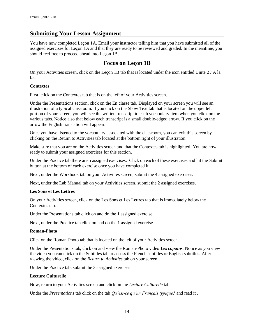# **Submitting Your Lesson Assignment**

You have now completed Leçon 1A. Email your instructor telling him that you have submitted all of the assigned exercises for Leçon 1A and that they are ready to be reviewed and graded. In the meantime, you should feel free to proceed ahead into Leçon 1B.

# **Focus on Leçon 1B**

On your Activities screen, click on the Leçon 1B tab that is located under the icon entitled Unité  $2/\dot{A}$  la fac

#### **Contextes**

First, click on the Contextes tab that is on the left of your Activities screen.

Under the Presentations section, click on the En classe tab. Displayed on your screen you will see an illustration of a typical classroom. If you click on the Show Text tab that is located on the upper left portion of your screen, you will see the written transcript to each vocabulary item when you click on the various tabs. Notice also that below each transcript is a small double-edged arrow. If you click on the arrow the English translation will appear.

Once you have listened to the vocabulary associated with the classroom, you can exit this screen by clicking on the Return to Activities tab located at the bottom right of your illustration.

Make sure that you are on the Activities screen and that the Contextes tab is highlighted. You are now ready to submit your assigned exercises for this section.

Under the Practice tab there are 5 assigned exercises. Click on each of these exercises and hit the Submit button at the bottom of each exercise once you have completed it.

Next, under the Workbook tab on your Activities screen, submit the 4 assigned exercises.

Next, under the Lab Manual tab on your Activities screen, submit the 2 assigned exercises.

#### **Les Sons et Les Lettres**

On your Activities screen, click on the Les Sons et Les Lettres tab that is immediately below the Contextes tab.

Under the Presentations tab click on and do the 1 assigned exercise.

Next, under the Practice tab click on and do the 1 assigned exercise

#### **Roman-Photo**

Click on the Roman-Photo tab that is located on the left of your Activities screen.

Under the Presentations tab, click on and view the Roman-Photo video *Les copains*. Notice as you view the video you can click on the Subtitles tab to access the French subtitles or English subtitles. After viewing the video, click on the *Return to Activities* tab on your screen.

Under the Practice tab, submit the 3 assigned exercises

#### **Lecture Culturelle**

Now, return to your Activities screen and click on the *Lecture Culturelle* tab.

Under the *Presentations* tab click on the tab *Qu'est-ce qu'un Français typique?* and read it .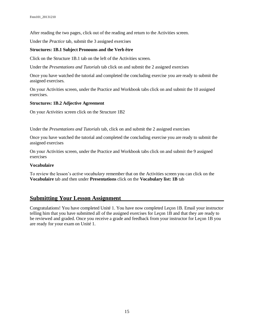After reading the two pages, click out of the reading and return to the Activities screen.

Under the *Practice* tab, submit the 3 assigned exercises

#### **Structures: 1B.1 Subject Pronouns and the Verb être**

Click on the Structure 1B.1 tab on the left of the Activities screen.

Under the *Presentations and Tutorials* tab click on and submit the 2 assigned exercises

Once you have watched the tutorial and completed the concluding exercise you are ready to submit the assigned exercises.

On your Activities screen, under the Practice and Workbook tabs click on and submit the 10 assigned exercises.

#### **Structures: 1B.2 Adjective Agreement**

On your *Activities* screen click on the Structure 1B2

Under the *Presentations and Tutorials* tab, click on and submit the 2 assigned exercises

Once you have watched the tutorial and completed the concluding exercise you are ready to submit the assigned exercises

On your Activities screen, under the Practice and Workbook tabs click on and submit the 9 assigned exercises

#### **Vocabulaire**

To review the lesson's *active vocabulary* remember that on the Activities screen you can click on the **Vocabulaire** tab and then under **Presentations** click on the **Vocabulary list: 1B** tab

#### **Submitting Your Lesson Assignment**

Congratulations! You have completed Unité 1. You have now completed Leçon 1B. Email your instructor telling him that you have submitted all of the assigned exercises for Leçon 1B and that they are ready to be reviewed and graded. Once you receive a grade and feedback from your instructor for Leçon 1B you are ready for your exam on Unité 1.